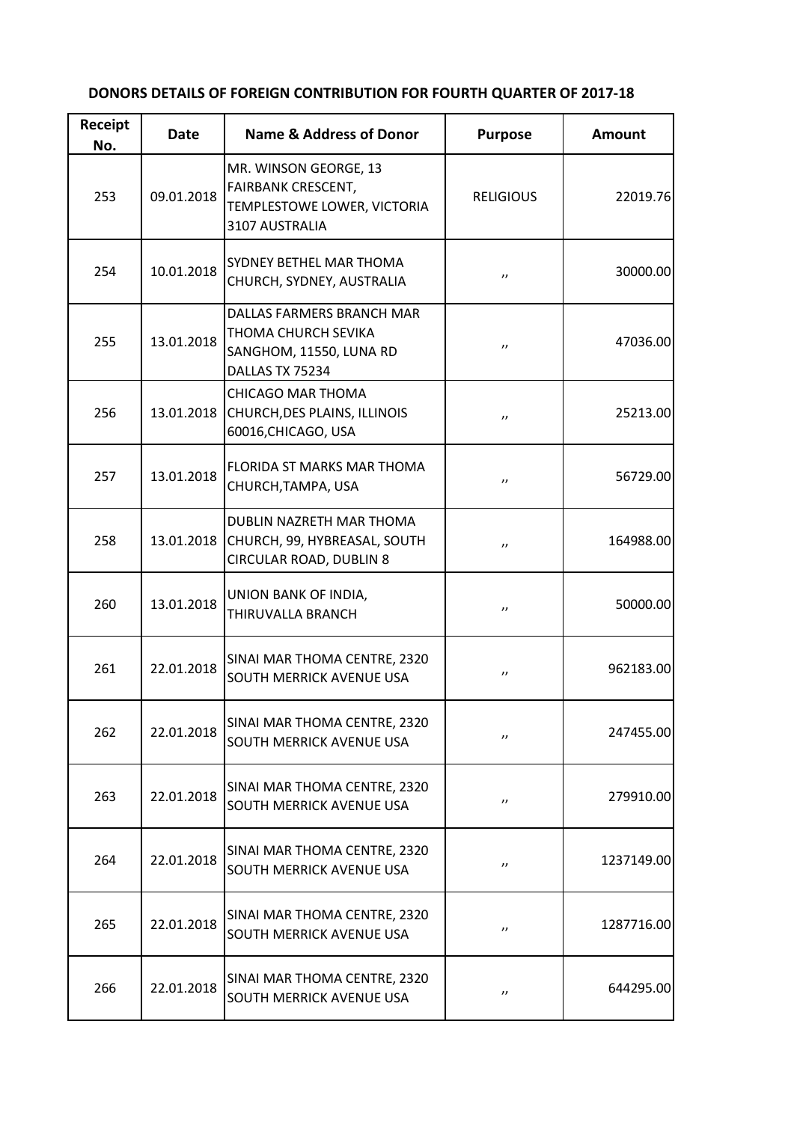| Receipt<br>No. | Date       | <b>Name &amp; Address of Donor</b>                                                                  | <b>Purpose</b>    | <b>Amount</b> |
|----------------|------------|-----------------------------------------------------------------------------------------------------|-------------------|---------------|
| 253            | 09.01.2018 | MR. WINSON GEORGE, 13<br><b>FAIRBANK CRESCENT,</b><br>TEMPLESTOWE LOWER, VICTORIA<br>3107 AUSTRALIA | <b>RELIGIOUS</b>  | 22019.76      |
| 254            | 10.01.2018 | SYDNEY BETHEL MAR THOMA<br>CHURCH, SYDNEY, AUSTRALIA                                                | $^{\prime\prime}$ | 30000.00      |
| 255            | 13.01.2018 | DALLAS FARMERS BRANCH MAR<br>THOMA CHURCH SEVIKA<br>SANGHOM, 11550, LUNA RD<br>DALLAS TX 75234      | $^{\prime\prime}$ | 47036.00      |
| 256            | 13.01.2018 | <b>CHICAGO MAR THOMA</b><br>CHURCH, DES PLAINS, ILLINOIS<br>60016, CHICAGO, USA                     | $^{\prime\prime}$ | 25213.00      |
| 257            | 13.01.2018 | FLORIDA ST MARKS MAR THOMA<br>CHURCH, TAMPA, USA                                                    | $^{\prime\prime}$ | 56729.00      |
| 258            | 13.01.2018 | DUBLIN NAZRETH MAR THOMA<br>CHURCH, 99, HYBREASAL, SOUTH<br>CIRCULAR ROAD, DUBLIN 8                 | $^{\prime\prime}$ | 164988.00     |
| 260            | 13.01.2018 | UNION BANK OF INDIA,<br>THIRUVALLA BRANCH                                                           | $^{\prime\prime}$ | 50000.00      |
| 261            | 22.01.2018 | SINAI MAR THOMA CENTRE, 2320<br>SOUTH MERRICK AVENUE USA                                            | $^{\prime\prime}$ | 962183.00     |
| 262            | 22.01.2018 | SINAI MAR THOMA CENTRE, 2320<br>SOUTH MERRICK AVENUE USA                                            | $^{\prime\prime}$ | 247455.00     |
| 263            | 22.01.2018 | SINAI MAR THOMA CENTRE, 2320<br>SOUTH MERRICK AVENUE USA                                            | $^{\prime\prime}$ | 279910.00     |
| 264            | 22.01.2018 | SINAI MAR THOMA CENTRE, 2320<br>SOUTH MERRICK AVENUE USA                                            | $^{\prime\prime}$ | 1237149.00    |
| 265            | 22.01.2018 | SINAI MAR THOMA CENTRE, 2320<br>SOUTH MERRICK AVENUE USA                                            | $^{\prime\prime}$ | 1287716.00    |
| 266            | 22.01.2018 | SINAI MAR THOMA CENTRE, 2320<br>SOUTH MERRICK AVENUE USA                                            | $^{\prime\prime}$ | 644295.00     |

## **DONORS DETAILS OF FOREIGN CONTRIBUTION FOR FOURTH QUARTER OF 2017-18**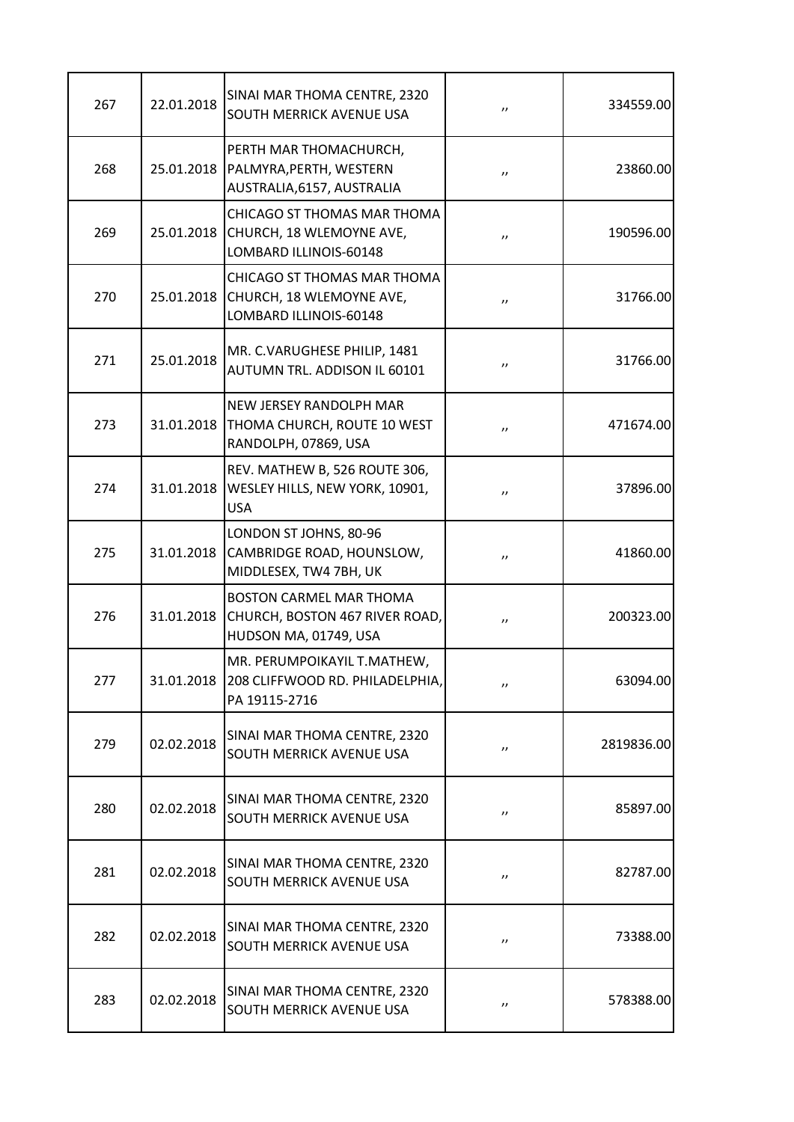| 267 | 22.01.2018 | SINAI MAR THOMA CENTRE, 2320<br>SOUTH MERRICK AVENUE USA                                  | $^{\prime\prime}$  | 334559.00  |
|-----|------------|-------------------------------------------------------------------------------------------|--------------------|------------|
| 268 | 25.01.2018 | PERTH MAR THOMACHURCH,<br>PALMYRA, PERTH, WESTERN<br>AUSTRALIA, 6157, AUSTRALIA           | $^{\prime\prime}$  | 23860.00   |
| 269 | 25.01.2018 | CHICAGO ST THOMAS MAR THOMA<br>CHURCH, 18 WLEMOYNE AVE,<br>LOMBARD ILLINOIS-60148         | $^{\prime\prime}$  | 190596.00  |
| 270 | 25.01.2018 | CHICAGO ST THOMAS MAR THOMA<br>CHURCH, 18 WLEMOYNE AVE,<br>LOMBARD ILLINOIS-60148         | $^{\prime\prime}$  | 31766.00   |
| 271 | 25.01.2018 | MR. C.VARUGHESE PHILIP, 1481<br>AUTUMN TRL. ADDISON IL 60101                              | $^{\prime\prime}$  | 31766.00   |
| 273 | 31.01.2018 | <b>NEW JERSEY RANDOLPH MAR</b><br>THOMA CHURCH, ROUTE 10 WEST<br>RANDOLPH, 07869, USA     | $^{\prime\prime}$  | 471674.00  |
| 274 | 31.01.2018 | REV. MATHEW B, 526 ROUTE 306,<br>WESLEY HILLS, NEW YORK, 10901,<br><b>USA</b>             | $^{\prime\prime}$  | 37896.00   |
| 275 | 31.01.2018 | LONDON ST JOHNS, 80-96<br>CAMBRIDGE ROAD, HOUNSLOW,<br>MIDDLESEX, TW4 7BH, UK             | $^{\prime\prime}$  | 41860.00   |
| 276 | 31.01.2018 | <b>BOSTON CARMEL MAR THOMA</b><br>CHURCH, BOSTON 467 RIVER ROAD,<br>HUDSON MA, 01749, USA | $, \, \,$          | 200323.00  |
| 277 | 31.01.2018 | MR. PERUMPOIKAYIL T.MATHEW,<br>208 CLIFFWOOD RD. PHILADELPHIA,<br>PA 19115-2716           | $^{\prime \prime}$ | 63094.00   |
| 279 | 02.02.2018 | SINAI MAR THOMA CENTRE, 2320<br>SOUTH MERRICK AVENUE USA                                  | $^{\prime\prime}$  | 2819836.00 |
| 280 | 02.02.2018 | SINAI MAR THOMA CENTRE, 2320<br>SOUTH MERRICK AVENUE USA                                  | $^{\prime\prime}$  | 85897.00   |
| 281 | 02.02.2018 | SINAI MAR THOMA CENTRE, 2320<br>SOUTH MERRICK AVENUE USA                                  | $^{\prime\prime}$  | 82787.00   |
| 282 | 02.02.2018 | SINAI MAR THOMA CENTRE, 2320<br><b>SOUTH MERRICK AVENUE USA</b>                           | $^{\prime\prime}$  | 73388.00   |
| 283 | 02.02.2018 | SINAI MAR THOMA CENTRE, 2320<br><b>SOUTH MERRICK AVENUE USA</b>                           | $^{\prime\prime}$  | 578388.00  |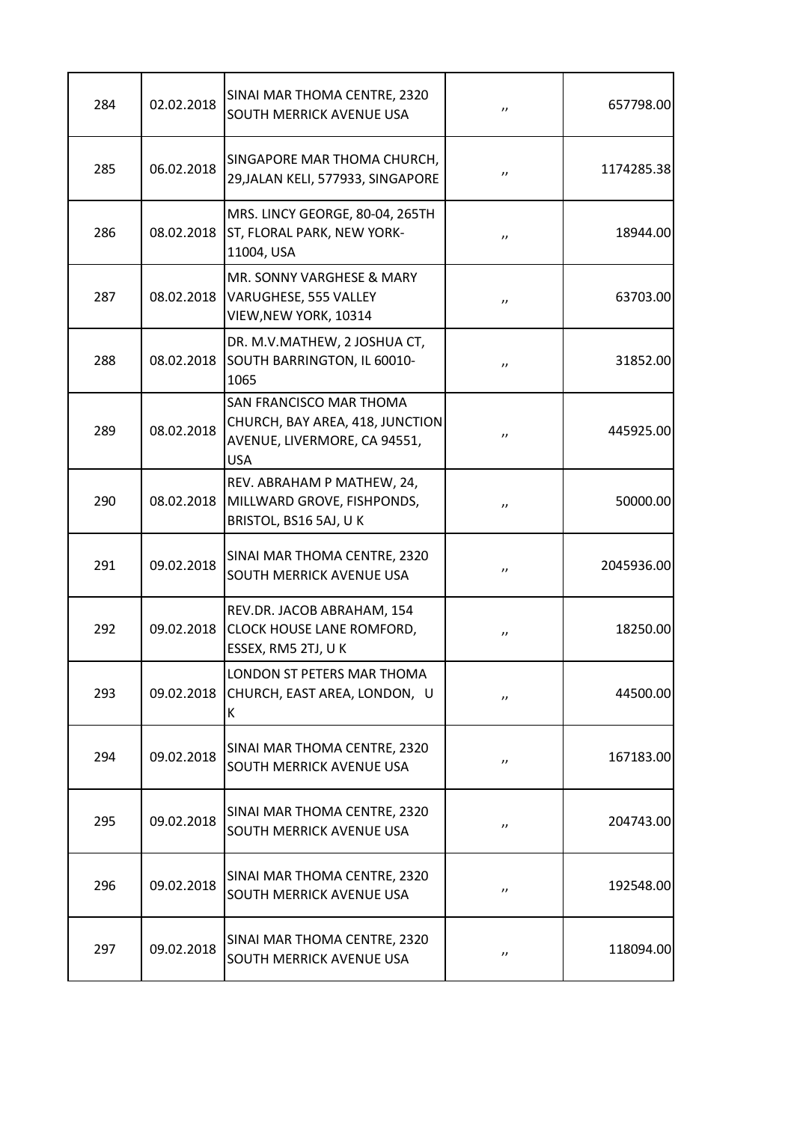| 284 | 02.02.2018 | SINAI MAR THOMA CENTRE, 2320<br><b>SOUTH MERRICK AVENUE USA</b>                                                 | $^{\prime\prime}$  | 657798.00  |
|-----|------------|-----------------------------------------------------------------------------------------------------------------|--------------------|------------|
| 285 | 06.02.2018 | SINGAPORE MAR THOMA CHURCH,<br>29, JALAN KELI, 577933, SINGAPORE                                                | $^{\prime\prime}$  | 1174285.38 |
| 286 | 08.02.2018 | MRS. LINCY GEORGE, 80-04, 265TH<br>ST, FLORAL PARK, NEW YORK-<br>11004, USA                                     | $^{\prime\prime}$  | 18944.00   |
| 287 | 08.02.2018 | MR. SONNY VARGHESE & MARY<br>VARUGHESE, 555 VALLEY<br>VIEW, NEW YORK, 10314                                     | $^{\prime\prime}$  | 63703.00   |
| 288 | 08.02.2018 | DR. M.V.MATHEW, 2 JOSHUA CT,<br>SOUTH BARRINGTON, IL 60010-<br>1065                                             | $^{\prime\prime}$  | 31852.00   |
| 289 | 08.02.2018 | <b>SAN FRANCISCO MAR THOMA</b><br>CHURCH, BAY AREA, 418, JUNCTION<br>AVENUE, LIVERMORE, CA 94551,<br><b>USA</b> | $^{\prime\prime}$  | 445925.00  |
| 290 | 08.02.2018 | REV. ABRAHAM P MATHEW, 24,<br>MILLWARD GROVE, FISHPONDS,<br>BRISTOL, BS16 5AJ, UK                               | $^{\prime}$        | 50000.00   |
| 291 | 09.02.2018 | SINAI MAR THOMA CENTRE, 2320<br><b>SOUTH MERRICK AVENUE USA</b>                                                 | $^{\prime}$        | 2045936.00 |
| 292 | 09.02.2018 | REV.DR. JACOB ABRAHAM, 154<br><b>CLOCK HOUSE LANE ROMFORD,</b><br>ESSEX, RM5 2TJ, UK                            | $^{\prime\prime}$  | 18250.00   |
| 293 | 09.02.2018 | LONDON ST PETERS MAR THOMA<br>CHURCH, EAST AREA, LONDON, U<br>Κ                                                 | $^{\prime\prime}$  | 44500.00   |
| 294 | 09.02.2018 | SINAI MAR THOMA CENTRE, 2320<br><b>SOUTH MERRICK AVENUE USA</b>                                                 | $^{\prime\prime}$  | 167183.00  |
| 295 | 09.02.2018 | SINAI MAR THOMA CENTRE, 2320<br><b>SOUTH MERRICK AVENUE USA</b>                                                 | $^{\prime\prime}$  | 204743.00  |
| 296 | 09.02.2018 | SINAI MAR THOMA CENTRE, 2320<br><b>SOUTH MERRICK AVENUE USA</b>                                                 | $^{\prime\prime}$  | 192548.00  |
| 297 | 09.02.2018 | SINAI MAR THOMA CENTRE, 2320<br><b>SOUTH MERRICK AVENUE USA</b>                                                 | $^{\prime \prime}$ | 118094.00  |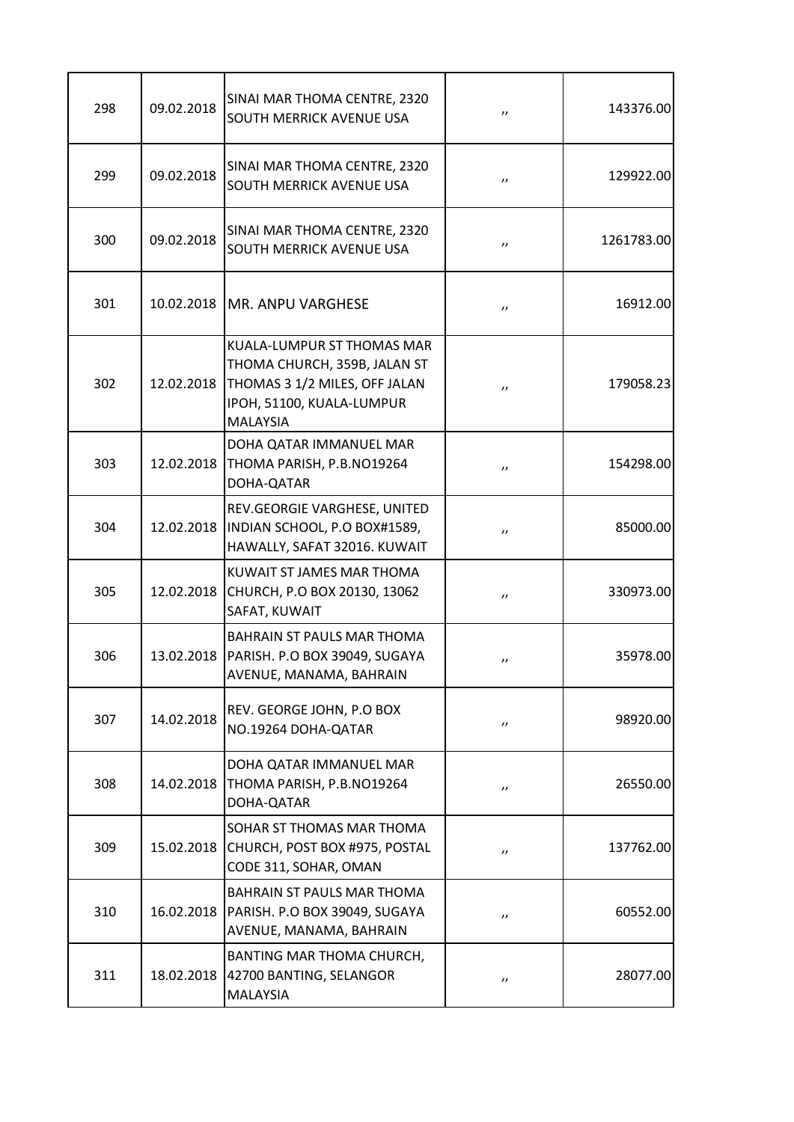| 298 | 09.02.2018 | SINAI MAR THOMA CENTRE, 2320<br>SOUTH MERRICK AVENUE USA                                                                                    | $^{\prime\prime}$  | 143376.00  |
|-----|------------|---------------------------------------------------------------------------------------------------------------------------------------------|--------------------|------------|
| 299 | 09.02.2018 | SINAI MAR THOMA CENTRE, 2320<br>SOUTH MERRICK AVENUE USA                                                                                    | $^{\prime\prime}$  | 129922.00  |
| 300 | 09.02.2018 | SINAI MAR THOMA CENTRE, 2320<br>SOUTH MERRICK AVENUE USA                                                                                    | $^{\prime\prime}$  | 1261783.00 |
| 301 |            | 10.02.2018   MR. ANPU VARGHESE                                                                                                              | $^{\prime\prime}$  | 16912.00   |
| 302 | 12.02.2018 | KUALA-LUMPUR ST THOMAS MAR<br>THOMA CHURCH, 359B, JALAN ST<br>THOMAS 3 1/2 MILES, OFF JALAN<br>IPOH, 51100, KUALA-LUMPUR<br><b>MALAYSIA</b> | $^{\prime\prime}$  | 179058.23  |
| 303 | 12.02.2018 | DOHA QATAR IMMANUEL MAR<br>THOMA PARISH, P.B.NO19264<br>DOHA-QATAR                                                                          | $^{\prime\prime}$  | 154298.00  |
| 304 | 12.02.2018 | REV.GEORGIE VARGHESE, UNITED<br>INDIAN SCHOOL, P.O BOX#1589,<br>HAWALLY, SAFAT 32016. KUWAIT                                                | $^{\prime\prime}$  | 85000.00   |
| 305 | 12.02.2018 | KUWAIT ST JAMES MAR THOMA<br>CHURCH, P.O BOX 20130, 13062<br>SAFAT, KUWAIT                                                                  | $^{\prime\prime}$  | 330973.00  |
| 306 | 13.02.2018 | BAHRAIN ST PAULS MAR THOMA<br>PARISH. P.O BOX 39049, SUGAYA<br>AVENUE, MANAMA, BAHRAIN                                                      | $^{\prime\prime}$  | 35978.00   |
| 307 | 14.02.2018 | REV. GEORGE JOHN, P.O BOX<br>NO.19264 DOHA-QATAR                                                                                            | $^{\prime \prime}$ | 98920.00   |
| 308 | 14.02.2018 | DOHA QATAR IMMANUEL MAR<br>THOMA PARISH, P.B.NO19264<br>DOHA-QATAR                                                                          | $^{\prime \prime}$ | 26550.00   |
| 309 | 15.02.2018 | SOHAR ST THOMAS MAR THOMA<br>CHURCH, POST BOX #975, POSTAL<br>CODE 311, SOHAR, OMAN                                                         | $^{\prime \prime}$ | 137762.00  |
| 310 | 16.02.2018 | BAHRAIN ST PAULS MAR THOMA<br>PARISH. P.O BOX 39049, SUGAYA<br>AVENUE, MANAMA, BAHRAIN                                                      | $^{\prime \prime}$ | 60552.00   |
| 311 | 18.02.2018 | BANTING MAR THOMA CHURCH,<br>42700 BANTING, SELANGOR<br>MALAYSIA                                                                            | $^{\prime\prime}$  | 28077.00   |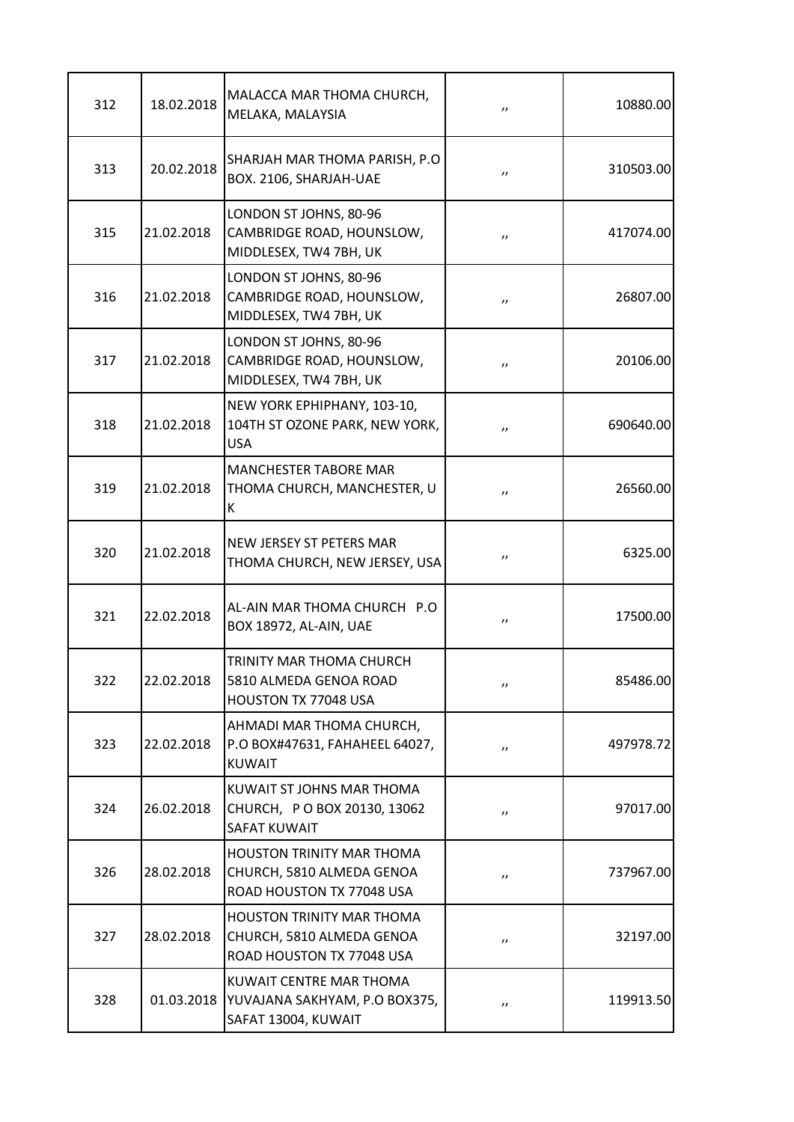| 312 | 18.02.2018 | MALACCA MAR THOMA CHURCH,<br>MELAKA, MALAYSIA                                              | $, \, \,$          | 10880.00  |
|-----|------------|--------------------------------------------------------------------------------------------|--------------------|-----------|
| 313 | 20.02.2018 | SHARJAH MAR THOMA PARISH, P.O.<br>BOX. 2106, SHARJAH-UAE                                   | $^{\prime\prime}$  | 310503.00 |
| 315 | 21.02.2018 | LONDON ST JOHNS, 80-96<br>CAMBRIDGE ROAD, HOUNSLOW,<br>MIDDLESEX, TW4 7BH, UK              | $^{\prime\prime}$  | 417074.00 |
| 316 | 21.02.2018 | LONDON ST JOHNS, 80-96<br>CAMBRIDGE ROAD, HOUNSLOW,<br>MIDDLESEX, TW4 7BH, UK              | $^{\prime\prime}$  | 26807.00  |
| 317 | 21.02.2018 | LONDON ST JOHNS, 80-96<br>CAMBRIDGE ROAD, HOUNSLOW,<br>MIDDLESEX, TW4 7BH, UK              | $^{\prime\prime}$  | 20106.00  |
| 318 | 21.02.2018 | NEW YORK EPHIPHANY, 103-10,<br>104TH ST OZONE PARK, NEW YORK,<br><b>USA</b>                | $^{\prime\prime}$  | 690640.00 |
| 319 | 21.02.2018 | <b>MANCHESTER TABORE MAR</b><br>THOMA CHURCH, MANCHESTER, U<br>К                           | $, \, \,$          | 26560.00  |
| 320 | 21.02.2018 | NEW JERSEY ST PETERS MAR<br>THOMA CHURCH, NEW JERSEY, USA                                  | $^{\prime\prime}$  | 6325.00   |
| 321 | 22.02.2018 | AL-AIN MAR THOMA CHURCH P.O<br>BOX 18972, AL-AIN, UAE                                      | $^{\prime\prime}$  | 17500.00  |
| 322 | 22.02.2018 | TRINITY MAR THOMA CHURCH<br>5810 ALMEDA GENOA ROAD<br>HOUSTON TX 77048 USA                 | $^{\prime \prime}$ | 85486.00  |
| 323 | 22.02.2018 | AHMADI MAR THOMA CHURCH,<br>P.O BOX#47631, FAHAHEEL 64027,<br><b>KUWAIT</b>                | $^{\prime\prime}$  | 497978.72 |
| 324 | 26.02.2018 | KUWAIT ST JOHNS MAR THOMA<br>CHURCH, PO BOX 20130, 13062<br><b>SAFAT KUWAIT</b>            | $^{\prime\prime}$  | 97017.00  |
| 326 | 28.02.2018 | <b>HOUSTON TRINITY MAR THOMA</b><br>CHURCH, 5810 ALMEDA GENOA<br>ROAD HOUSTON TX 77048 USA | $^{\prime\prime}$  | 737967.00 |
| 327 | 28.02.2018 | HOUSTON TRINITY MAR THOMA<br>CHURCH, 5810 ALMEDA GENOA<br>ROAD HOUSTON TX 77048 USA        | $^{\prime \prime}$ | 32197.00  |
| 328 | 01.03.2018 | KUWAIT CENTRE MAR THOMA<br>YUVAJANA SAKHYAM, P.O BOX375,<br>SAFAT 13004, KUWAIT            | $^{\prime\prime}$  | 119913.50 |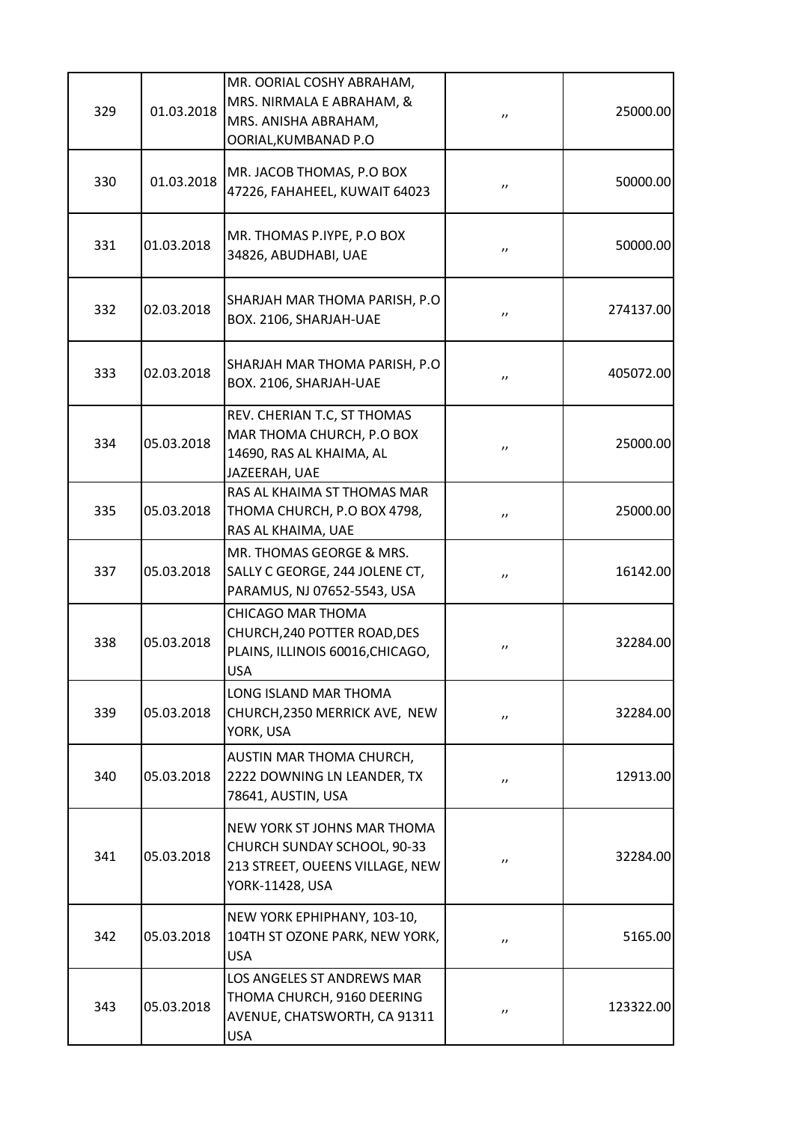| 329 | 01.03.2018 | MR. OORIAL COSHY ABRAHAM,<br>MRS. NIRMALA E ABRAHAM, &<br>MRS. ANISHA ABRAHAM,<br>OORIAL, KUMBANAD P.O           | $^{\prime\prime}$  | 25000.00  |
|-----|------------|------------------------------------------------------------------------------------------------------------------|--------------------|-----------|
| 330 | 01.03.2018 | MR. JACOB THOMAS, P.O BOX<br>47226, FAHAHEEL, KUWAIT 64023                                                       | $^{\prime \prime}$ | 50000.00  |
| 331 | 01.03.2018 | MR. THOMAS P.IYPE, P.O BOX<br>34826, ABUDHABI, UAE                                                               | $^{\prime \prime}$ | 50000.00  |
| 332 | 02.03.2018 | SHARJAH MAR THOMA PARISH, P.O<br>BOX. 2106, SHARJAH-UAE                                                          | $^{\prime \prime}$ | 274137.00 |
| 333 | 02.03.2018 | SHARJAH MAR THOMA PARISH, P.O.<br>BOX. 2106, SHARJAH-UAE                                                         | $^{\prime \prime}$ | 405072.00 |
| 334 | 05.03.2018 | REV. CHERIAN T.C, ST THOMAS<br>MAR THOMA CHURCH, P.O BOX<br>14690, RAS AL KHAIMA, AL<br>JAZEERAH, UAE            | $^{\prime\prime}$  | 25000.00  |
| 335 | 05.03.2018 | RAS AL KHAIMA ST THOMAS MAR<br>THOMA CHURCH, P.O BOX 4798,<br>RAS AL KHAIMA, UAE                                 | $^{\prime \prime}$ | 25000.00  |
| 337 | 05.03.2018 | MR. THOMAS GEORGE & MRS.<br>SALLY C GEORGE, 244 JOLENE CT,<br>PARAMUS, NJ 07652-5543, USA                        | $^{\prime\prime}$  | 16142.00  |
| 338 | 05.03.2018 | <b>CHICAGO MAR THOMA</b><br>CHURCH, 240 POTTER ROAD, DES<br>PLAINS, ILLINOIS 60016, CHICAGO,<br><b>USA</b>       | $^{\prime}$        | 32284.00  |
| 339 | 05.03.2018 | LONG ISLAND MAR THOMA<br>CHURCH, 2350 MERRICK AVE, NEW<br>YORK, USA                                              | $^{\prime \prime}$ | 32284.00  |
| 340 | 05.03.2018 | AUSTIN MAR THOMA CHURCH,<br>2222 DOWNING LN LEANDER, TX<br>78641, AUSTIN, USA                                    | $^{\prime \prime}$ | 12913.00  |
| 341 | 05.03.2018 | NEW YORK ST JOHNS MAR THOMA<br>CHURCH SUNDAY SCHOOL, 90-33<br>213 STREET, OUEENS VILLAGE, NEW<br>YORK-11428, USA | $^{\prime \prime}$ | 32284.00  |
| 342 | 05.03.2018 | NEW YORK EPHIPHANY, 103-10,<br>104TH ST OZONE PARK, NEW YORK,<br><b>USA</b>                                      | $^{\prime \prime}$ | 5165.00   |
| 343 | 05.03.2018 | LOS ANGELES ST ANDREWS MAR<br>THOMA CHURCH, 9160 DEERING<br>AVENUE, CHATSWORTH, CA 91311<br><b>USA</b>           | $^{\prime\prime}$  | 123322.00 |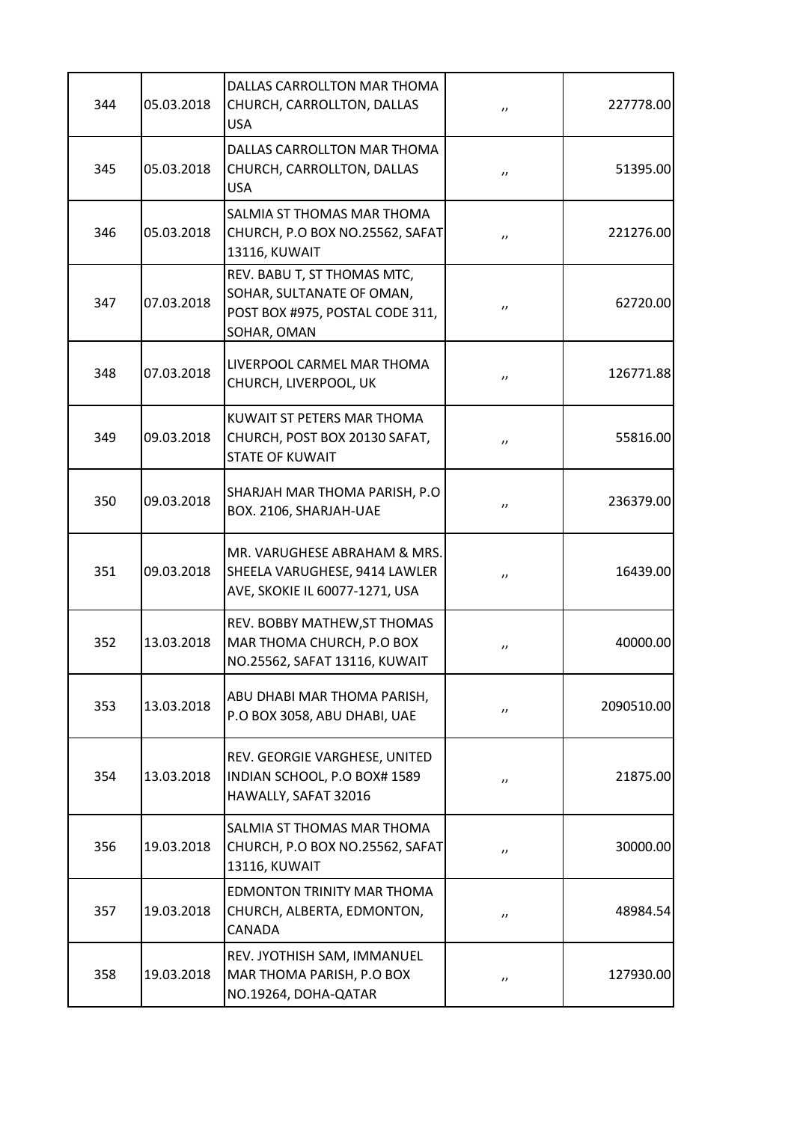| 344 | 05.03.2018 | DALLAS CARROLLTON MAR THOMA<br>CHURCH, CARROLLTON, DALLAS<br><b>USA</b>                                    | $^{\prime}$       | 227778.00  |
|-----|------------|------------------------------------------------------------------------------------------------------------|-------------------|------------|
| 345 | 05.03.2018 | DALLAS CARROLLTON MAR THOMA<br>CHURCH, CARROLLTON, DALLAS<br><b>USA</b>                                    | $^{\prime}$       | 51395.00   |
| 346 | 05.03.2018 | SALMIA ST THOMAS MAR THOMA<br>CHURCH, P.O BOX NO.25562, SAFAT<br>13116, KUWAIT                             | $^{\prime\prime}$ | 221276.00  |
| 347 | 07.03.2018 | REV. BABU T, ST THOMAS MTC,<br>SOHAR, SULTANATE OF OMAN,<br>POST BOX #975, POSTAL CODE 311,<br>SOHAR, OMAN | $^{\prime\prime}$ | 62720.00   |
| 348 | 07.03.2018 | LIVERPOOL CARMEL MAR THOMA<br>CHURCH, LIVERPOOL, UK                                                        | $^{\prime\prime}$ | 126771.88  |
| 349 | 09.03.2018 | KUWAIT ST PETERS MAR THOMA<br>CHURCH, POST BOX 20130 SAFAT,<br><b>STATE OF KUWAIT</b>                      | $^{\prime\prime}$ | 55816.00   |
| 350 | 09.03.2018 | SHARJAH MAR THOMA PARISH, P.O.<br>BOX. 2106, SHARJAH-UAE                                                   | $^{\prime\prime}$ | 236379.00  |
| 351 | 09.03.2018 | MR. VARUGHESE ABRAHAM & MRS.<br>SHEELA VARUGHESE, 9414 LAWLER<br>AVE, SKOKIE IL 60077-1271, USA            | $^{\prime\prime}$ | 16439.00   |
| 352 | 13.03.2018 | REV. BOBBY MATHEW, ST THOMAS<br>MAR THOMA CHURCH, P.O BOX<br>NO.25562, SAFAT 13116, KUWAIT                 | $, \,$            | 40000.00   |
| 353 | 13.03.2018 | ABU DHABI MAR THOMA PARISH,<br>P.O BOX 3058, ABU DHABI, UAE                                                | $^{\prime\prime}$ | 2090510.00 |
| 354 | 13.03.2018 | REV. GEORGIE VARGHESE, UNITED<br>INDIAN SCHOOL, P.O BOX# 1589<br>HAWALLY, SAFAT 32016                      | $^{\prime\prime}$ | 21875.00   |
| 356 | 19.03.2018 | SALMIA ST THOMAS MAR THOMA<br>CHURCH, P.O BOX NO.25562, SAFAT<br>13116, KUWAIT                             | $^{\prime\prime}$ | 30000.00   |
| 357 | 19.03.2018 | EDMONTON TRINITY MAR THOMA<br>CHURCH, ALBERTA, EDMONTON,<br><b>CANADA</b>                                  | $^{\prime\prime}$ | 48984.54   |
| 358 | 19.03.2018 | REV. JYOTHISH SAM, IMMANUEL<br>MAR THOMA PARISH, P.O BOX<br>NO.19264, DOHA-QATAR                           | $^{\prime\prime}$ | 127930.00  |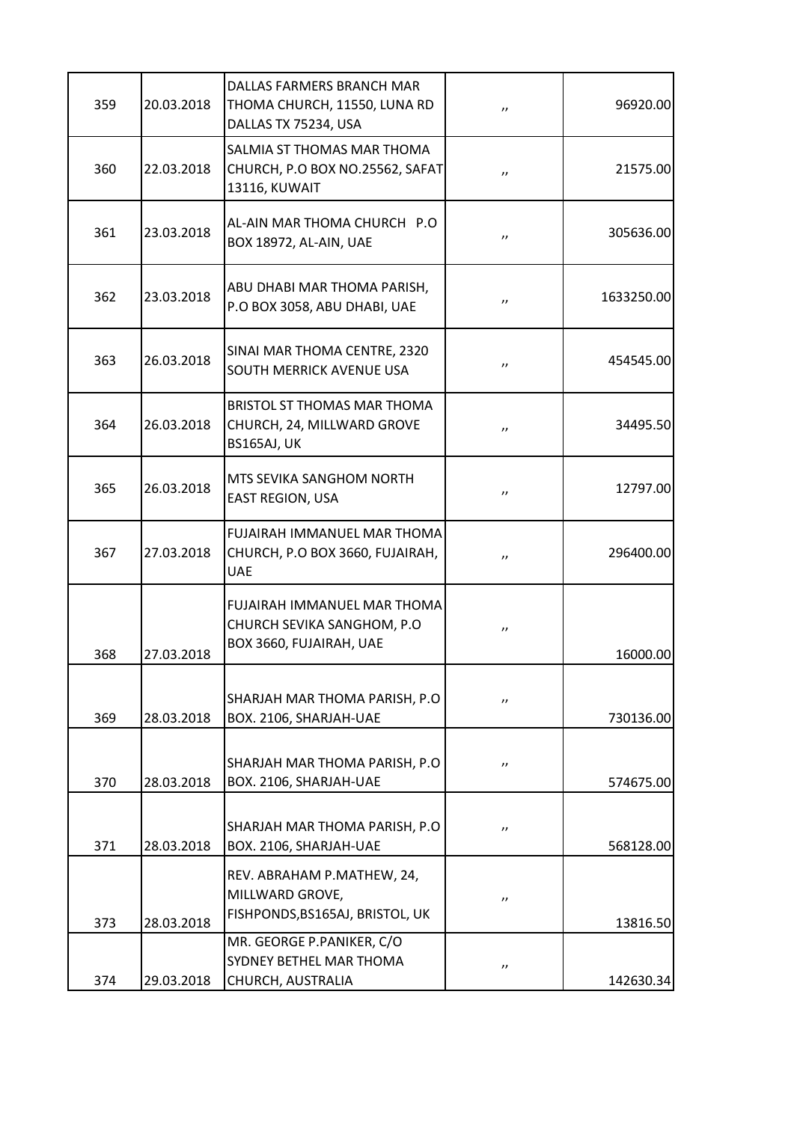| 96920.00   | $^{\prime\prime}$  | DALLAS FARMERS BRANCH MAR<br>THOMA CHURCH, 11550, LUNA RD<br>DALLAS TX 75234, USA            | 20.03.2018 | 359 |
|------------|--------------------|----------------------------------------------------------------------------------------------|------------|-----|
| 21575.00   | $^{\prime \prime}$ | SALMIA ST THOMAS MAR THOMA<br>CHURCH, P.O BOX NO.25562, SAFAT<br>13116, KUWAIT               | 22.03.2018 | 360 |
| 305636.00  | $^{\prime \prime}$ | AL-AIN MAR THOMA CHURCH P.O<br>BOX 18972, AL-AIN, UAE                                        | 23.03.2018 | 361 |
| 1633250.00 | $^{\prime \prime}$ | ABU DHABI MAR THOMA PARISH,<br>P.O BOX 3058, ABU DHABI, UAE                                  | 23.03.2018 | 362 |
| 454545.00  | $^{\prime \prime}$ | SINAI MAR THOMA CENTRE, 2320<br>SOUTH MERRICK AVENUE USA                                     | 26.03.2018 | 363 |
| 34495.50   | $^{\prime \prime}$ | <b>BRISTOL ST THOMAS MAR THOMA</b><br>CHURCH, 24, MILLWARD GROVE<br>BS165AJ, UK              | 26.03.2018 | 364 |
| 12797.00   | $^{\prime \prime}$ | MTS SEVIKA SANGHOM NORTH<br>EAST REGION, USA                                                 | 26.03.2018 | 365 |
| 296400.00  | $^{\prime \prime}$ | <b>FUJAIRAH IMMANUEL MAR THOMA</b><br>CHURCH, P.O BOX 3660, FUJAIRAH,<br><b>UAE</b>          | 27.03.2018 | 367 |
| 16000.00   | $^{\prime\prime}$  | <b>FUJAIRAH IMMANUEL MAR THOMA</b><br>CHURCH SEVIKA SANGHOM, P.O.<br>BOX 3660, FUJAIRAH, UAE | 27.03.2018 | 368 |
| 730136.00  | $^{\prime \prime}$ | SHARJAH MAR THOMA PARISH, P.O.<br>BOX. 2106, SHARJAH-UAE                                     | 28.03.2018 | 369 |
| 574675.00  | $^{\prime\prime}$  | SHARJAH MAR THOMA PARISH, P.O<br>BOX. 2106, SHARJAH-UAE                                      | 28.03.2018 | 370 |
| 568128.00  | $^{\prime\prime}$  | SHARJAH MAR THOMA PARISH, P.O<br>BOX. 2106, SHARJAH-UAE                                      | 28.03.2018 | 371 |
| 13816.50   | $^{\prime\prime}$  | REV. ABRAHAM P.MATHEW, 24,<br>MILLWARD GROVE,<br>FISHPONDS, BS165AJ, BRISTOL, UK             | 28.03.2018 | 373 |
| 142630.34  | $^{\prime\prime}$  | MR. GEORGE P.PANIKER, C/O<br><b>SYDNEY BETHEL MAR THOMA</b><br>CHURCH, AUSTRALIA             | 29.03.2018 | 374 |